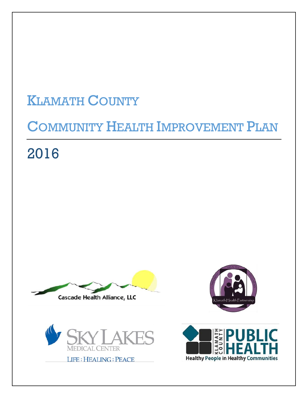# **KLAMATH COUNTY**

# **COMMUNITY HEALTH IMPROVEMENT PLAN**

2016





**LIFE: HEALING: PEACE** 



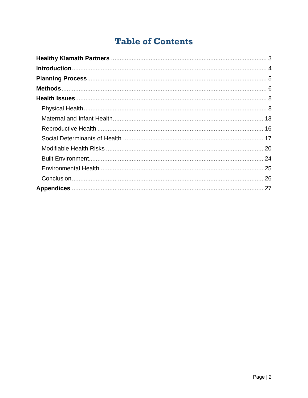# **Table of Contents**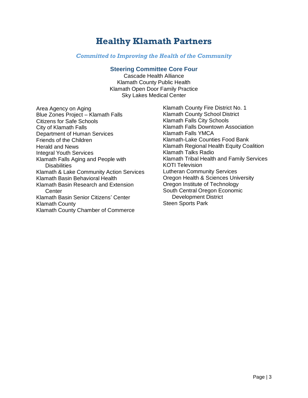# **Healthy Klamath Partners**

#### *Committed to Improving the Health of the Community*

#### **Steering Committee Core Four**

Cascade Health Alliance Klamath County Public Health Klamath Open Door Family Practice Sky Lakes Medical Center

Area Agency on Aging Blue Zones Project – Klamath Falls Citizens for Safe Schools City of Klamath Falls Department of Human Services Friends of the Children Herald and News Integral Youth Services Klamath Falls Aging and People with **Disabilities** Klamath & Lake Community Action Services Klamath Basin Behavioral Health Klamath Basin Research and Extension **Center** Klamath Basin Senior Citizens' Center Klamath County Klamath County Chamber of Commerce

Klamath County Fire District No. 1 Klamath County School District Klamath Falls City Schools Klamath Falls Downtown Association Klamath Falls YMCA Klamath-Lake Counties Food Bank Klamath Regional Health Equity Coalition Klamath Talks Radio Klamath Tribal Health and Family Services KOTI Television Lutheran Community Services Oregon Health & Sciences University Oregon Institute of Technology South Central Oregon Economic Development District Steen Sports Park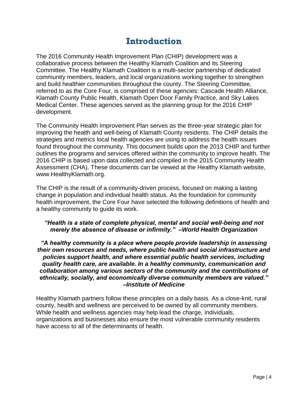# **Introduction**

The 2016 Community Health Improvement Plan (CHIP) development was a collaborative process between the Healthy Klamath Coalition and its Steering Committee. The Healthy Klamath Coalition is a multi-sector partnership of dedicated community members, leaders, and local organizations working together to strengthen and build healthier communities throughout the county. The Steering Committee, referred to as the Core Four, is comprised of these agencies: Cascade Health Alliance, Klamath County Public Health, Klamath Open Door Family Practice, and Sky Lakes Medical Center. These agencies served as the planning group for the 2016 CHIP development.

The Community Health Improvement Plan serves as the three-year strategic plan for improving the health and well-being of Klamath County residents. The CHIP details the strategies and metrics local health agencies are using to address the health issues found throughout the community. This document builds upon the 2013 CHIP and further outlines the programs and services offered within the community to improve health. The 2016 CHIP is based upon data collected and compiled in the 2015 Community Health Assessment (CHA). These documents can be viewed at the Healthy Klamath website, www.HealthyKlamath.org.

The CHIP is the result of a community-driven process, focused on making a lasting change in population and individual health status. As the foundation for community health improvement, the Core Four have selected the following definitions of health and a healthy community to guide its work.

#### *"Health is a state of complete physical, mental and social well-being and not merely the absence of disease or infirmity." –World Health Organization*

#### *"A healthy community is a place where people provide leadership in assessing their own resources and needs, where public health and social infrastructure and policies support health, and where essential public health services, including quality health care, are available. In a healthy community, communication and collaboration among various sectors of the community and the contributions of ethnically, socially, and economically diverse community members are valued." –Institute of Medicine*

Healthy Klamath partners follow these principles on a daily basis. As a close-knit, rural county, health and wellness are perceived to be owned by all community members. While health and wellness agencies may help lead the charge, individuals, organizations and businesses also ensure the most vulnerable community residents have access to all of the determinants of health.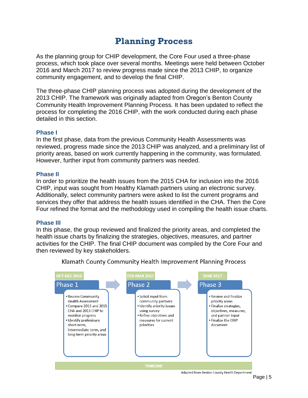# **Planning Process**

As the planning group for CHIP development, the Core Four used a three-phase process, which took place over several months. Meetings were held between October 2016 and March 2017 to review progress made since the 2013 CHIP, to organize community engagement, and to develop the final CHIP.

The three-phase CHIP planning process was adopted during the development of the 2013 CHIP. The framework was originally adapted from Oregon's Benton County Community Health Improvement Planning Process. It has been updated to reflect the process for completing the 2016 CHIP, with the work conducted during each phase detailed in this section.

#### **Phase I**

In the first phase, data from the previous Community Health Assessments was reviewed, progress made since the 2013 CHIP was analyzed, and a preliminary list of priority areas, based on work currently happening in the community, was formulated. However, further input from community partners was needed.

#### **Phase II**

In order to prioritize the health issues from the 2015 CHA for inclusion into the 2016 CHIP, input was sought from Healthy Klamath partners using an electronic survey. Additionally, select community partners were asked to list the current programs and services they offer that address the health issues identified in the CHA. Then the Core Four refined the format and the methodology used in compiling the health issue charts.

#### **Phase III**

In this phase, the group reviewed and finalized the priority areas, and completed the health issue charts by finalizing the strategies, objectives, measures, and partner activities for the CHIP. The final CHIP document was compiled by the Core Four and then reviewed by key stakeholders.



Klamath County Community Health Improvement Planning Process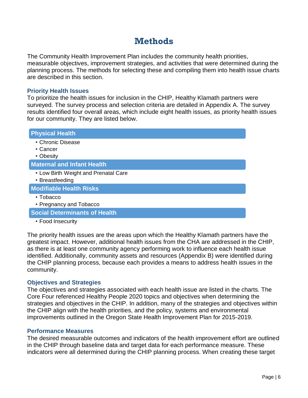# **Methods**

The Community Health Improvement Plan includes the community health priorities, measurable objectives, improvement strategies, and activities that were determined during the planning process. The methods for selecting these and compiling them into health issue charts are described in this section.

#### **Priority Health Issues**

To prioritize the health issues for inclusion in the CHIP, Healthy Klamath partners were surveyed. The survey process and selection criteria are detailed in Appendix A. The survey results identified four overall areas, which include eight health issues, as priority health issues for our community. They are listed below.

| <b>Physical Health</b>                                  |
|---------------------------------------------------------|
| • Chronic Disease                                       |
| • Cancer<br>• Obesity                                   |
| <b>Maternal and Infant Health</b>                       |
| • Low Birth Weight and Prenatal Care<br>• Breastfeeding |
| <b>Modifiable Health Risks</b>                          |
| • Tobacco<br>• Pregnancy and Tobacco                    |
| <b>Social Determinants of Health</b>                    |

• Food Insecurity

The priority health issues are the areas upon which the Healthy Klamath partners have the greatest impact. However, additional health issues from the CHA are addressed in the CHIP, as there is at least one community agency performing work to influence each health issue identified. Additionally, community assets and resources (Appendix B) were identified during the CHIP planning process, because each provides a means to address health issues in the community.

#### **Objectives and Strategies**

The objectives and strategies associated with each health issue are listed in the charts. The Core Four referenced Healthy People 2020 topics and objectives when determining the strategies and objectives in the CHIP. In addition, many of the strategies and objectives within the CHIP align with the health priorities, and the policy, systems and environmental improvements outlined in the Oregon State Health Improvement Plan for 2015-2019.

#### **Performance Measures**

The desired measurable outcomes and indicators of the health improvement effort are outlined in the CHIP through baseline data and target data for each performance measure. These indicators were all determined during the CHIP planning process. When creating these target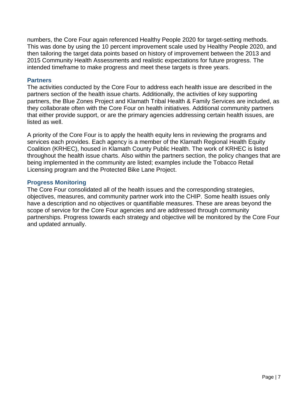numbers, the Core Four again referenced Healthy People 2020 for target-setting methods. This was done by using the 10 percent improvement scale used by Healthy People 2020, and then tailoring the target data points based on history of improvement between the 2013 and 2015 Community Health Assessments and realistic expectations for future progress. The intended timeframe to make progress and meet these targets is three years.

#### **Partners**

The activities conducted by the Core Four to address each health issue are described in the partners section of the health issue charts. Additionally, the activities of key supporting partners, the Blue Zones Project and Klamath Tribal Health & Family Services are included, as they collaborate often with the Core Four on health initiatives. Additional community partners that either provide support, or are the primary agencies addressing certain health issues, are listed as well.

A priority of the Core Four is to apply the health equity lens in reviewing the programs and services each provides. Each agency is a member of the Klamath Regional Health Equity Coalition (KRHEC), housed in Klamath County Public Health. The work of KRHEC is listed throughout the health issue charts. Also within the partners section, the policy changes that are being implemented in the community are listed; examples include the Tobacco Retail Licensing program and the Protected Bike Lane Project.

#### **Progress Monitoring**

The Core Four consolidated all of the health issues and the corresponding strategies, objectives, measures, and community partner work into the CHIP. Some health issues only have a description and no objectives or quantifiable measures. These are areas beyond the scope of service for the Core Four agencies and are addressed through community partnerships. Progress towards each strategy and objective will be monitored by the Core Four and updated annually.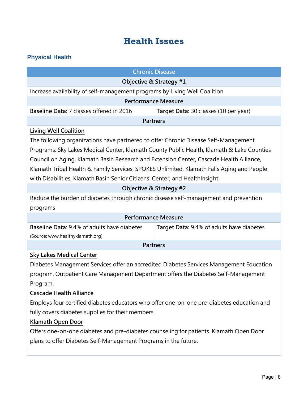# **Health Issues**

# **Physical Health**

| <b>Chronic Disease</b>                                                                                                                                                                                                                                                                                                                                                                                                                                                                                                                                                                                                                                |  |
|-------------------------------------------------------------------------------------------------------------------------------------------------------------------------------------------------------------------------------------------------------------------------------------------------------------------------------------------------------------------------------------------------------------------------------------------------------------------------------------------------------------------------------------------------------------------------------------------------------------------------------------------------------|--|
| Objective & Strategy #1                                                                                                                                                                                                                                                                                                                                                                                                                                                                                                                                                                                                                               |  |
| Increase availability of self-management programs by Living Well Coalition                                                                                                                                                                                                                                                                                                                                                                                                                                                                                                                                                                            |  |
| <b>Performance Measure</b>                                                                                                                                                                                                                                                                                                                                                                                                                                                                                                                                                                                                                            |  |
| Baseline Data: 7 classes offered in 2016<br>Target Data: 30 classes (10 per year)                                                                                                                                                                                                                                                                                                                                                                                                                                                                                                                                                                     |  |
| <b>Partners</b>                                                                                                                                                                                                                                                                                                                                                                                                                                                                                                                                                                                                                                       |  |
| <b>Living Well Coalition</b><br>The following organizations have partnered to offer Chronic Disease Self-Management<br>Programs: Sky Lakes Medical Center, Klamath County Public Health, Klamath & Lake Counties<br>Council on Aging, Klamath Basin Research and Extension Center, Cascade Health Alliance,<br>Klamath Tribal Health & Family Services, SPOKES Unlimited, Klamath Falls Aging and People<br>with Disabilities, Klamath Basin Senior Citizens' Center, and HealthInsight.<br>Objective & Strategy #2<br>Reduce the burden of diabetes through chronic disease self-management and prevention<br>programs<br><b>Performance Measure</b> |  |
| Baseline Data: 9.4% of adults have diabetes<br>Target Data: 9.4% of adults have diabetes<br>(Source: www.healthyklamath.org)                                                                                                                                                                                                                                                                                                                                                                                                                                                                                                                          |  |
| <b>Partners</b>                                                                                                                                                                                                                                                                                                                                                                                                                                                                                                                                                                                                                                       |  |
| <b>Sky Lakes Medical Center</b><br>Diabetes Management Services offer an accredited Diabetes Services Management Education<br>program. Outpatient Care Management Department offers the Diabetes Self-Management<br>Program.<br><b>Cascade Health Alliance</b><br>Employs four certified diabetes educators who offer one-on-one pre-diabetes education and<br>fully covers diabetes supplies for their members.<br>Klamath Open Door<br>Offers one-on-one diabetes and pre-diabetes counseling for patients. Klamath Open Door<br>plans to offer Diabetes Self-Management Programs in the future.                                                    |  |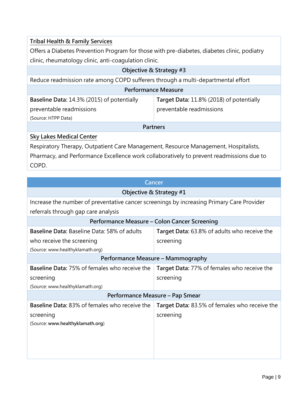| <b>Tribal Health &amp; Family Services</b>                                                  |                                          |
|---------------------------------------------------------------------------------------------|------------------------------------------|
| Offers a Diabetes Prevention Program for those with pre-diabetes, diabetes clinic, podiatry |                                          |
| clinic, rheumatology clinic, anti-coagulation clinic.                                       |                                          |
| Objective & Strategy #3                                                                     |                                          |
| Reduce readmission rate among COPD sufferers through a multi-departmental effort            |                                          |
| <b>Performance Measure</b>                                                                  |                                          |
| Baseline Data: 14.3% (2015) of potentially                                                  | Target Data: 11.8% (2018) of potentially |
| preventable readmissions                                                                    | preventable readmissions                 |
| (Source: HTPP Data)                                                                         |                                          |
| <b>Partners</b>                                                                             |                                          |
| <b>Sky Lakes Medical Center</b>                                                             |                                          |

Respiratory Therapy, Outpatient Care Management, Resource Management, Hospitalists, Pharmacy, and Performance Excellence work collaboratively to prevent readmissions due to COPD.

| <b>Cancer</b>                                                                             |                                               |
|-------------------------------------------------------------------------------------------|-----------------------------------------------|
| Objective & Strategy #1                                                                   |                                               |
| Increase the number of preventative cancer screenings by increasing Primary Care Provider |                                               |
| referrals through gap care analysis                                                       |                                               |
| Performance Measure - Colon Cancer Screening                                              |                                               |
| Baseline Data: Baseline Data: 58% of adults                                               | Target Data: 63.8% of adults who receive the  |
| who receive the screening                                                                 | screening                                     |
| (Source: www.healthyklamath.org)                                                          |                                               |
| Performance Measure - Mammography                                                         |                                               |
| Baseline Data: 75% of females who receive the                                             | Target Data: 77% of females who receive the   |
| screening                                                                                 | screening                                     |
| (Source: www.healthyklamath.org)                                                          |                                               |
| Performance Measure - Pap Smear                                                           |                                               |
| <b>Baseline Data: 83% of females who receive the</b>                                      | Target Data: 83.5% of females who receive the |
| screening                                                                                 | screening                                     |
| (Source: www.healthyklamath.org)                                                          |                                               |
|                                                                                           |                                               |
|                                                                                           |                                               |
|                                                                                           |                                               |
|                                                                                           |                                               |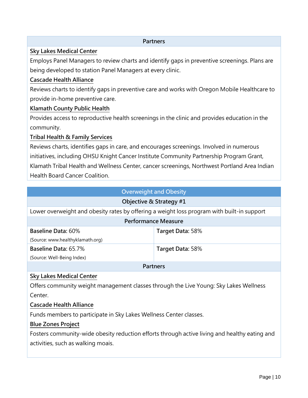#### **Partners**

#### **Sky Lakes Medical Center**

Employs Panel Managers to review charts and identify gaps in preventive screenings. Plans are being developed to station Panel Managers at every clinic.

#### **Cascade Health Alliance**

Reviews charts to identify gaps in preventive care and works with Oregon Mobile Healthcare to provide in-home preventive care.

#### **Klamath County Public Health**

Provides access to reproductive health screenings in the clinic and provides education in the community.

#### **Tribal Health & Family Services**

Reviews charts, identifies gaps in care, and encourages screenings. Involved in numerous initiatives, including OHSU Knight Cancer Institute Community Partnership Program Grant, Klamath Tribal Health and Wellness Center, cancer screenings, Northwest Portland Area Indian Health Board Cancer Coalition.

#### **Overweight and Obesity**

#### **Objective & Strategy #1**

Lower overweight and obesity rates by offering a weight loss program with built-in support

| <b>Performance Measure</b>       |                  |
|----------------------------------|------------------|
| <b>Baseline Data: 60%</b>        | Target Data: 58% |
| (Source: www.healthyklamath.org) |                  |
| Baseline Data: 65.7%             | Target Data: 58% |
| (Source: Well-Being Index)       |                  |
| <b>Partners</b>                  |                  |

#### **Sky Lakes Medical Center**

Offers community weight management classes through the Live Young: Sky Lakes Wellness Center.

#### **Cascade Health Alliance**

Funds members to participate in Sky Lakes Wellness Center classes.

#### **Blue Zones Project**

Fosters community-wide obesity reduction efforts through active living and healthy eating and activities, such as walking moais.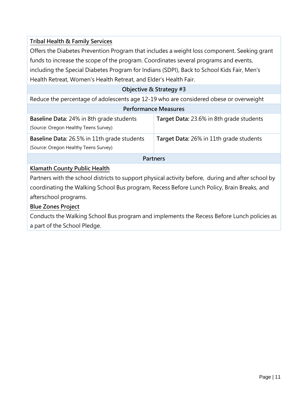### **Tribal Health & Family Services**

Offers the Diabetes Prevention Program that includes a weight loss component. Seeking grant funds to increase the scope of the program. Coordinates several programs and events, including the Special Diabetes Program for Indians (SDPI), Back to School Kids Fair, Men's Health Retreat, Women's Health Retreat, and Elder's Health Fair.

#### **Objective & Strategy #3**

| Reduce the percentage of adolescents age 12-19 who are considered obese or overweight       |                                          |
|---------------------------------------------------------------------------------------------|------------------------------------------|
| <b>Performance Measures</b>                                                                 |                                          |
| <b>Baseline Data: 24% in 8th grade students</b><br>(Source: Oregon Healthy Teens Survey)    | Target Data: 23.6% in 8th grade students |
| <b>Baseline Data: 26.5% in 11th grade students</b><br>(Source: Oregon Healthy Teens Survey) | Target Data: 26% in 11th grade students  |
| <b>Partners</b>                                                                             |                                          |
| .                                                                                           |                                          |

#### **Klamath County Public Health**

Partners with the school districts to support physical activity before, during and after school by coordinating the Walking School Bus program, Recess Before Lunch Policy, Brain Breaks, and afterschool programs.

#### **Blue Zones Project**

Conducts the Walking School Bus program and implements the Recess Before Lunch policies as a part of the School Pledge.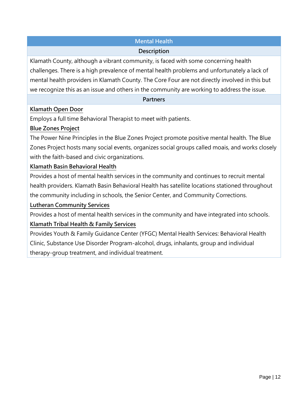# **Mental Health**

#### **Description**

Klamath County, although a vibrant community, is faced with some concerning health challenges. There is a high prevalence of mental health problems and unfortunately a lack of mental health providers in Klamath County. The Core Four are not directly involved in this but we recognize this as an issue and others in the community are working to address the issue.

#### **Partners**

#### **Klamath Open Door**

Employs a full time Behavioral Therapist to meet with patients.

# **Blue Zones Project**

The Power Nine Principles in the Blue Zones Project promote positive mental health. The Blue Zones Project hosts many social events, organizes social groups called moais, and works closely with the faith-based and civic organizations.

#### **Klamath Basin Behavioral Health**

Provides a host of mental health services in the community and continues to recruit mental health providers. Klamath Basin Behavioral Health has satellite locations stationed throughout the community including in schools, the Senior Center, and Community Corrections.

# **Lutheran Community Services**

Provides a host of mental health services in the community and have integrated into schools.

# **Klamath Tribal Health & Family Services**

Provides Youth & Family Guidance Center (YFGC) Mental Health Services: Behavioral Health Clinic, Substance Use Disorder Program-alcohol, drugs, inhalants, group and individual therapy-group treatment, and individual treatment.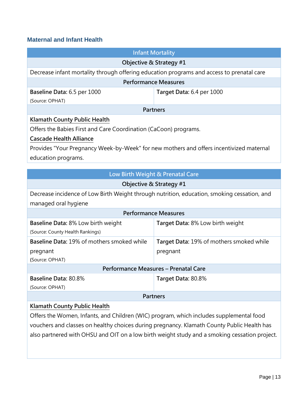#### **Maternal and Infant Health**

|                                                                                             | <b>Infant Mortality</b>                  |
|---------------------------------------------------------------------------------------------|------------------------------------------|
|                                                                                             |                                          |
|                                                                                             | Objective & Strategy #1                  |
| Decrease infant mortality through offering education programs and access to prenatal care   |                                          |
| <b>Performance Measures</b>                                                                 |                                          |
| Baseline Data: 6.5 per 1000                                                                 | Target Data: 6.4 per 1000                |
| (Source: OPHAT)                                                                             |                                          |
| <b>Partners</b>                                                                             |                                          |
| <b>Klamath County Public Health</b>                                                         |                                          |
| Offers the Babies First and Care Coordination (CaCoon) programs.                            |                                          |
| <b>Cascade Health Alliance</b>                                                              |                                          |
| Provides "Your Pregnancy Week-by-Week" for new mothers and offers incentivized maternal     |                                          |
| education programs.                                                                         |                                          |
|                                                                                             |                                          |
| Low Birth Weight & Prenatal Care                                                            |                                          |
| Objective & Strategy #1                                                                     |                                          |
| Decrease incidence of Low Birth Weight through nutrition, education, smoking cessation, and |                                          |
| managed oral hygiene                                                                        |                                          |
| <b>Performance Measures</b>                                                                 |                                          |
| <b>Baseline Data: 8% Low birth weight</b>                                                   | Target Data: 8% Low birth weight         |
| (Source: County Health Rankings)                                                            |                                          |
| Baseline Data: 19% of mothers smoked while                                                  | Target Data: 19% of mothers smoked while |
| pregnant                                                                                    | pregnant                                 |
| (Source: OPHAT)                                                                             |                                          |
| Performance Measures - Prenatal Care                                                        |                                          |
| Baseline Data: 80.8%                                                                        | Target Data: 80.8%                       |
| (Source: OPHAT)                                                                             |                                          |
| <b>Partners</b>                                                                             |                                          |
| Klamath County Public Health                                                                |                                          |
|                                                                                             |                                          |

Offers the Women, Infants, and Children (WIC) program, which includes supplemental food vouchers and classes on healthy choices during pregnancy. Klamath County Public Health has also partnered with OHSU and OIT on a low birth weight study and a smoking cessation project.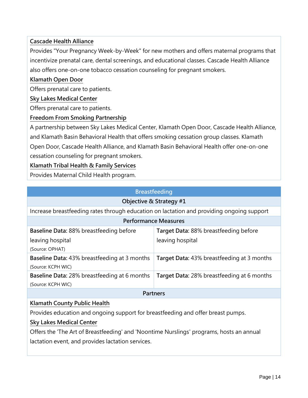# **Cascade Health Alliance**

Provides "Your Pregnancy Week-by-Week" for new mothers and offers maternal programs that incentivize prenatal care, dental screenings, and educational classes. Cascade Health Alliance also offers one-on-one tobacco cessation counseling for pregnant smokers.

### **Klamath Open Door**

Offers prenatal care to patients.

#### **Sky Lakes Medical Center**

Offers prenatal care to patients.

#### **Freedom From Smoking Partnership**

A partnership between Sky Lakes Medical Center, Klamath Open Door, Cascade Health Alliance, and Klamath Basin Behavioral Health that offers smoking cessation group classes. Klamath Open Door, Cascade Health Alliance, and Klamath Basin Behavioral Health offer one-on-one cessation counseling for pregnant smokers.

### **Klamath Tribal Health & Family Services**

Provides Maternal Child Health program.

| <b>Breastfeeding</b>                                                                      |  |
|-------------------------------------------------------------------------------------------|--|
| Objective & Strategy #1                                                                   |  |
| Increase breastfeeding rates through education on lactation and providing ongoing support |  |
| <b>Performance Measures</b>                                                               |  |
| Target Data: 88% breastfeeding before                                                     |  |
| leaving hospital                                                                          |  |
|                                                                                           |  |
| <b>Target Data: 43% breastfeeding at 3 months</b>                                         |  |
|                                                                                           |  |
| Target Data: 28% breastfeeding at 6 months                                                |  |
|                                                                                           |  |
| <b>Partners</b>                                                                           |  |
|                                                                                           |  |

# **Klamath County Public Health**

Provides education and ongoing support for breastfeeding and offer breast pumps.

#### **Sky Lakes Medical Center**

Offers the 'The Art of Breastfeeding' and 'Noontime Nurslings' programs, hosts an annual lactation event, and provides lactation services.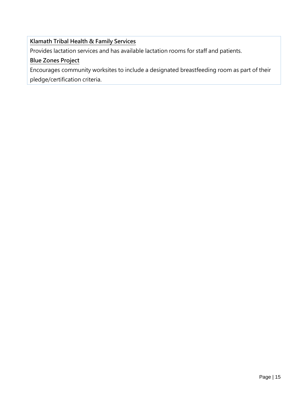# **Klamath Tribal Health & Family Services**

Provides lactation services and has available lactation rooms for staff and patients.

# **Blue Zones Project**

Encourages community worksites to include a designated breastfeeding room as part of their

pledge/certification criteria.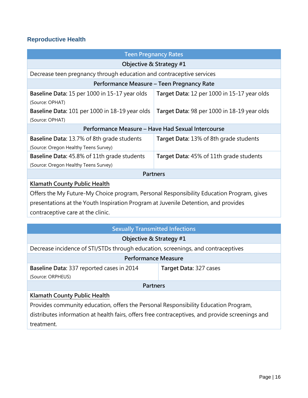# **Reproductive Health**

| <b>Teen Pregnancy Rates</b>                                                                                                                                                    |                                             |  |
|--------------------------------------------------------------------------------------------------------------------------------------------------------------------------------|---------------------------------------------|--|
| Objective & Strategy #1                                                                                                                                                        |                                             |  |
| Decrease teen pregnancy through education and contraceptive services                                                                                                           |                                             |  |
| Performance Measure - Teen Pregnancy Rate                                                                                                                                      |                                             |  |
| Baseline Data: 15 per 1000 in 15-17 year olds<br>(Source: OPHAT)                                                                                                               | Target Data: 12 per 1000 in 15-17 year olds |  |
| Baseline Data: 101 per 1000 in 18-19 year olds<br>(Source: OPHAT)                                                                                                              | Target Data: 98 per 1000 in 18-19 year olds |  |
| Performance Measure - Have Had Sexual Intercourse                                                                                                                              |                                             |  |
| <b>Baseline Data: 13.7% of 8th grade students</b><br>(Source: Oregon Healthy Teens Survey)                                                                                     | Target Data: 13% of 8th grade students      |  |
| <b>Baseline Data: 45.8% of 11th grade students</b><br>(Source: Oregon Healthy Teens Survey)                                                                                    | Target Data: 45% of 11th grade students     |  |
| <b>Partners</b>                                                                                                                                                                |                                             |  |
| <b>Klamath County Public Health</b>                                                                                                                                            |                                             |  |
| Offers the My Future-My Choice program, Personal Responsibility Education Program, gives<br>presentations at the Youth Inspiration Program at Juvenile Detention, and provides |                                             |  |

contraceptive care at the clinic.

| <b>Sexually Transmitted Infections</b>                                                          |                        |  |
|-------------------------------------------------------------------------------------------------|------------------------|--|
| Objective & Strategy #1                                                                         |                        |  |
| Decrease incidence of STI/STDs through education, screenings, and contraceptives                |                        |  |
| <b>Performance Measure</b>                                                                      |                        |  |
| Baseline Data: 337 reported cases in 2014                                                       | Target Data: 327 cases |  |
| (Source: ORPHEUS)                                                                               |                        |  |
| <b>Partners</b>                                                                                 |                        |  |
| Klamath County Public Health                                                                    |                        |  |
| Provides community education, offers the Personal Responsibility Education Program,             |                        |  |
| distributes information at health fairs, offers free contraceptives, and provide screenings and |                        |  |

treatment.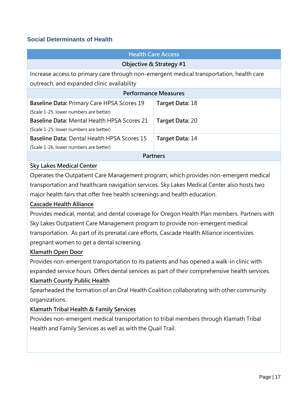#### **Social Determinants of Health**

| <b>Health Care Access</b>                                                                |                 |
|------------------------------------------------------------------------------------------|-----------------|
| Objective & Strategy #1                                                                  |                 |
| Increase access to primary care through non-emergent medical transportation, health care |                 |
| outreach, and expanded clinic availability                                               |                 |
| <b>Performance Measures</b>                                                              |                 |
| Baseline Data: Primary Care HPSA Scores 19                                               | Target Data: 18 |
| (Scale 1-25, lower numbers are better)                                                   |                 |
| <b>Baseline Data: Mental Health HPSA Scores 21</b>                                       | Target Data: 20 |
| (Scale 1-25, lower numbers are better)                                                   |                 |
| <b>Baseline Data: Dental Health HPSA Scores 15</b>                                       | Target Data: 14 |
| (Scale 1-26, lower numbers are better)                                                   |                 |
| <b>Partners</b>                                                                          |                 |

#### **Sky Lakes Medical Center**

Operates the Outpatient Care Management program, which provides non-emergent medical transportation and healthcare navigation services. Sky Lakes Medical Center also hosts two major health fairs that offer free health screenings and health education.

#### **Cascade Health Alliance**

Provides medical, mental, and dental coverage for Oregon Health Plan members. Partners with Sky Lakes Outpatient Care Management program to provide non-emergent medical transportation. As part of its prenatal care efforts, Cascade Health Alliance incentivizes pregnant women to get a dental screening.

#### **Klamath Open Door**

Provides non-emergent transportation to its patients and has opened a walk-in clinic with expanded service hours. Offers dental services as part of their comprehensive health services.

#### **Klamath County Public Health**

Spearheaded the formation of an Oral Health Coalition collaborating with other community organizations.

#### **Klamath Tribal Health & Family Services**

Provides non-emergent medical transportation to tribal members through Klamath Tribal Health and Family Services as well as with the Quail Trail.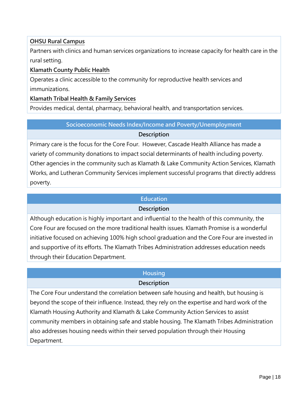### **OHSU Rural Campus**

Partners with clinics and human services organizations to increase capacity for health care in the rural setting.

#### **Klamath County Public Health**

Operates a clinic accessible to the community for reproductive health services and immunizations.

#### **Klamath Tribal Health & Family Services**

Provides medical, dental, pharmacy, behavioral health, and transportation services.

# **Socioeconomic Needs Index/Income and Poverty/Unemployment**

#### **Description**

Primary care is the focus for the Core Four. However, Cascade Health Alliance has made a variety of community donations to impact social determinants of health including poverty. Other agencies in the community such as Klamath & Lake Community Action Services, Klamath Works, and Lutheran Community Services implement successful programs that directly address poverty.

#### **Education**

#### **Description**

Although education is highly important and influential to the health of this community, the Core Four are focused on the more traditional health issues. Klamath Promise is a wonderful initiative focused on achieving 100% high school graduation and the Core Four are invested in and supportive of its efforts. The Klamath Tribes Administration addresses education needs through their Education Department.

# **Housing**

# **Description**

The Core Four understand the correlation between safe housing and health, but housing is beyond the scope of their influence. Instead, they rely on the expertise and hard work of the Klamath Housing Authority and Klamath & Lake Community Action Services to assist community members in obtaining safe and stable housing. The Klamath Tribes Administration also addresses housing needs within their served population through their Housing Department.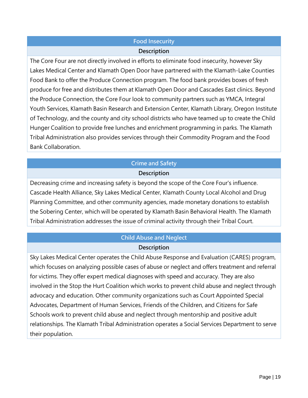#### **Food Insecurity**

#### **Description**

The Core Four are not directly involved in efforts to eliminate food insecurity, however Sky Lakes Medical Center and Klamath Open Door have partnered with the Klamath-Lake Counties Food Bank to offer the Produce Connection program. The food bank provides boxes of fresh produce for free and distributes them at Klamath Open Door and Cascades East clinics. Beyond the Produce Connection, the Core Four look to community partners such as YMCA, Integral Youth Services, Klamath Basin Research and Extension Center, Klamath Library, Oregon Institute of Technology, and the county and city school districts who have teamed up to create the Child Hunger Coalition to provide free lunches and enrichment programming in parks. The Klamath Tribal Administration also provides services through their Commodity Program and the Food Bank Collaboration.

# **Crime and Safety**

#### **Description**

Decreasing crime and increasing safety is beyond the scope of the Core Four's influence. Cascade Health Alliance, Sky Lakes Medical Center, Klamath County Local Alcohol and Drug Planning Committee, and other community agencies, made monetary donations to establish the Sobering Center, which will be operated by Klamath Basin Behavioral Health. The Klamath Tribal Administration addresses the issue of criminal activity through their Tribal Court.

# **Child Abuse and Neglect Description**

Sky Lakes Medical Center operates the Child Abuse Response and Evaluation (CARES) program, which focuses on analyzing possible cases of abuse or neglect and offers treatment and referral for victims. They offer expert medical diagnoses with speed and accuracy. They are also involved in the Stop the Hurt Coalition which works to prevent child abuse and neglect through advocacy and education. Other community organizations such as Court Appointed Special Advocates, Department of Human Services, Friends of the Children, and Citizens for Safe Schools work to prevent child abuse and neglect through mentorship and positive adult relationships. The Klamath Tribal Administration operates a Social Services Department to serve their population.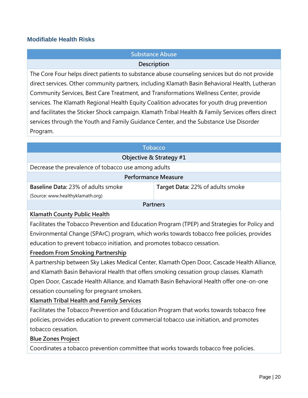#### **Modifiable Health Risks**

# **Substance Abuse**

#### **Description**

The Core Four helps direct patients to substance abuse counseling services but do not provide direct services. Other community partners, including Klamath Basin Behavioral Health, Lutheran Community Services, Best Care Treatment, and Transformations Wellness Center, provide services. The Klamath Regional Health Equity Coalition advocates for youth drug prevention and facilitates the Sticker Shock campaign. Klamath Tribal Health & Family Services offers direct services through the Youth and Family Guidance Center, and the Substance Use Disorder Program.

| <b>Tobacco</b>                                      |                                  |  |
|-----------------------------------------------------|----------------------------------|--|
| Objective & Strategy #1                             |                                  |  |
| Decrease the prevalence of tobacco use among adults |                                  |  |
| <b>Performance Measure</b>                          |                                  |  |
| <b>Baseline Data: 23% of adults smoke</b>           | Target Data: 22% of adults smoke |  |
| (Source: www.healthyklamath.org)                    |                                  |  |
| <b>Partners</b>                                     |                                  |  |
|                                                     |                                  |  |

#### **Klamath County Public Health**

Facilitates the Tobacco Prevention and Education Program (TPEP) and Strategies for Policy and Environmental Change (SPArC) program, which works towards tobacco free policies, provides education to prevent tobacco initiation, and promotes tobacco cessation.

#### **Freedom From Smoking Partnership**

A partnership between Sky Lakes Medical Center, Klamath Open Door, Cascade Health Alliance, and Klamath Basin Behavioral Health that offers smoking cessation group classes. Klamath Open Door, Cascade Health Alliance, and Klamath Basin Behavioral Health offer one-on-one cessation counseling for pregnant smokers.

#### **Klamath Tribal Health and Family Services**

Facilitates the Tobacco Prevention and Education Program that works towards tobacco free policies, provides education to prevent commercial tobacco use initiation, and promotes tobacco cessation.

#### **Blue Zones Project**

Coordinates a tobacco prevention committee that works towards tobacco free policies.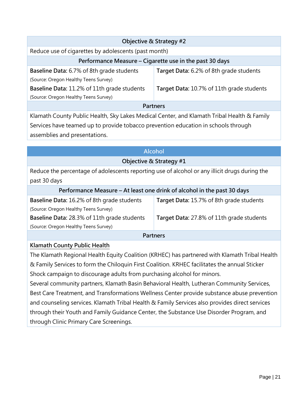| Objective & Strategy #2                                                                    |                                           |  |  |
|--------------------------------------------------------------------------------------------|-------------------------------------------|--|--|
| Reduce use of cigarettes by adolescents (past month)                                       |                                           |  |  |
| Performance Measure – Cigarette use in the past 30 days                                    |                                           |  |  |
| Baseline Data: 6.7% of 8th grade students                                                  | Target Data: 6.2% of 8th grade students   |  |  |
| (Source: Oregon Healthy Teens Survey)                                                      |                                           |  |  |
| <b>Baseline Data: 11.2% of 11th grade students</b>                                         | Target Data: 10.7% of 11th grade students |  |  |
| (Source: Oregon Healthy Teens Survey)                                                      |                                           |  |  |
| <b>Partners</b>                                                                            |                                           |  |  |
| Klamath County Public Health, Sky Lakes Medical Center, and Klamath Tribal Health & Family |                                           |  |  |
| Services have teamed up to provide tobacco prevention education in schools through         |                                           |  |  |
| assemblies and presentations.                                                              |                                           |  |  |

# **Alcohol**

#### **Objective & Strategy #1**

Reduce the percentage of adolescents reporting use of alcohol or any illicit drugs during the past 30 days

| Performance Measure – At least one drink of alcohol in the past 30 days |
|-------------------------------------------------------------------------|
|-------------------------------------------------------------------------|

| <b>Baseline Data: 16.2% of 8th grade students</b>  | Target Data: 15.7% of 8th grade students  |  |
|----------------------------------------------------|-------------------------------------------|--|
| (Source: Oregon Healthy Teens Survey)              |                                           |  |
| <b>Baseline Data: 28.3% of 11th grade students</b> | Target Data: 27.8% of 11th grade students |  |
| (Source: Oregon Healthy Teens Survey)              |                                           |  |
| <b>Dartnarc</b>                                    |                                           |  |

#### **Partners**

#### **Klamath County Public Health**

The Klamath Regional Health Equity Coalition (KRHEC) has partnered with Klamath Tribal Health & Family Services to form the Chiloquin First Coalition. KRHEC facilitates the annual Sticker Shock campaign to discourage adults from purchasing alcohol for minors.

Several community partners, Klamath Basin Behavioral Health, Lutheran Community Services, Best Care Treatment, and Transformations Wellness Center provide substance abuse prevention and counseling services. Klamath Tribal Health & Family Services also provides direct services through their Youth and Family Guidance Center, the Substance Use Disorder Program, and through Clinic Primary Care Screenings.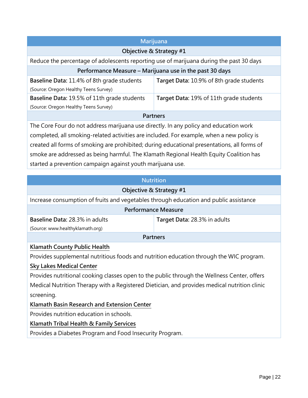| Marijuana                                                                                                                                                                                |                                          |  |  |
|------------------------------------------------------------------------------------------------------------------------------------------------------------------------------------------|------------------------------------------|--|--|
| Objective & Strategy #1                                                                                                                                                                  |                                          |  |  |
| Reduce the percentage of adolescents reporting use of marijuana during the past 30 days                                                                                                  |                                          |  |  |
| Performance Measure - Marijuana use in the past 30 days                                                                                                                                  |                                          |  |  |
| <b>Baseline Data: 11.4% of 8th grade students</b><br>(Source: Oregon Healthy Teens Survey)                                                                                               | Target Data: 10.9% of 8th grade students |  |  |
| Baseline Data: 19.5% of 11th grade students<br>(Source: Oregon Healthy Teens Survey)                                                                                                     | Target Data: 19% of 11th grade students  |  |  |
| <b>Partners</b>                                                                                                                                                                          |                                          |  |  |
| The Core Four do not address marijuana use directly. In any policy and education work                                                                                                    |                                          |  |  |
| completed, all smoking-related activities are included. For example, when a new policy is<br>created all forms of smoking are prohibited; during educational presentations, all forms of |                                          |  |  |

smoke are addressed as being harmful. The Klamath Regional Health Equity Coalition has started a prevention campaign against youth marijuana use.

#### **Nutrition**

| Objective & Strategy #1                                                               |                              |  |
|---------------------------------------------------------------------------------------|------------------------------|--|
| Increase consumption of fruits and vegetables through education and public assistance |                              |  |
| <b>Performance Measure</b>                                                            |                              |  |
| <b>Baseline Data: 28.3% in adults</b>                                                 | Target Data: 28.3% in adults |  |
| (Source: www.healthyklamath.org)                                                      |                              |  |
| <b>Partners</b>                                                                       |                              |  |
| Klamath County Public Health                                                          |                              |  |

Provides supplemental nutritious foods and nutrition education through the WIC program.

# **Sky Lakes Medical Center**

Provides nutritional cooking classes open to the public through the Wellness Center, offers Medical Nutrition Therapy with a Registered Dietician, and provides medical nutrition clinic screening.

# **Klamath Basin Research and Extension Center**

Provides nutrition education in schools.

# **Klamath Tribal Health & Family Services**

Provides a Diabetes Program and Food Insecurity Program.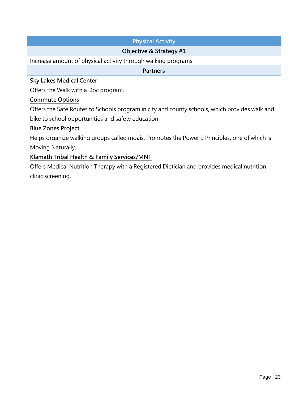# **Physical Activity**

### **Objective & Strategy #1**

Increase amount of physical activity through walking programs

**Partners**

#### **Sky Lakes Medical Center**

Offers the Walk with a Doc program.

#### **Commute Options**

Offers the Safe Routes to Schools program in city and county schools, which provides walk and bike to school opportunities and safety education.

#### **Blue Zones Project**

Helps organize walking groups called moais. Promotes the Power 9 Principles, one of which is Moving Naturally.

#### **Klamath Tribal Health & Family Services/MNT**

Offers Medical Nutrition Therapy with a Registered Dietician and provides medical nutrition clinic screening.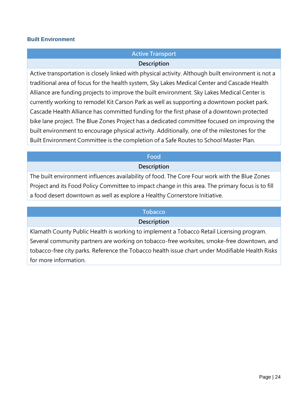#### **Built Environment**

# **Active Transport**

#### **Description**

Active transportation is closely linked with physical activity. Although built environment is not a traditional area of focus for the health system, Sky Lakes Medical Center and Cascade Health Alliance are funding projects to improve the built environment. Sky Lakes Medical Center is currently working to remodel Kit Carson Park as well as supporting a downtown pocket park. Cascade Health Alliance has committed funding for the first phase of a downtown protected bike lane project. The Blue Zones Project has a dedicated committee focused on improving the built environment to encourage physical activity. Additionally, one of the milestones for the Built Environment Committee is the completion of a Safe Routes to School Master Plan.

#### **Food**

#### **Description**

The built environment influences availability of food. The Core Four work with the Blue Zones Project and its Food Policy Committee to impact change in this area. The primary focus is to fill a food desert downtown as well as explore a Healthy Cornerstore Initiative.

#### **Tobacco**

#### **Description**

Klamath County Public Health is working to implement a Tobacco Retail Licensing program. Several community partners are working on tobacco-free worksites, smoke-free downtown, and tobacco-free city parks. Reference the Tobacco health issue chart under Modifiable Health Risks for more information.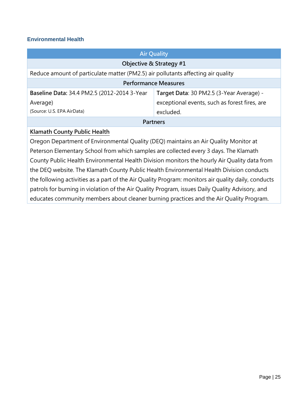#### **Environmental Health**

| <b>Air Quality</b>                                                                   |  |  |  |
|--------------------------------------------------------------------------------------|--|--|--|
| Objective & Strategy #1                                                              |  |  |  |
| Reduce amount of particulate matter (PM2.5) air pollutants affecting air quality     |  |  |  |
| <b>Performance Measures</b>                                                          |  |  |  |
| Target Data: 30 PM2.5 (3-Year Average) -                                             |  |  |  |
| exceptional events, such as forest fires, are                                        |  |  |  |
| excluded.                                                                            |  |  |  |
| <b>Partners</b>                                                                      |  |  |  |
| Klamath County Public Health                                                         |  |  |  |
| Oregon Department of Environmental Quality (DEQ) maintains an Air Quality Monitor at |  |  |  |
|                                                                                      |  |  |  |

Peterson Elementary School from which samples are collected every 3 days. The Klamath County Public Health Environmental Health Division monitors the hourly Air Quality data from the DEQ website. The Klamath County Public Health Environmental Health Division conducts the following activities as a part of the Air Quality Program: monitors air quality daily, conducts patrols for burning in violation of the Air Quality Program, issues Daily Quality Advisory, and educates community members about cleaner burning practices and the Air Quality Program.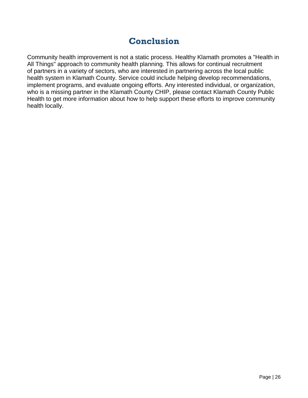# **Conclusion**

Community health improvement is not a static process. Healthy Klamath promotes a "Health in All Things" approach to community health planning. This allows for continual recruitment of partners in a variety of sectors, who are interested in partnering across the local public health system in Klamath County. Service could include helping develop recommendations, implement programs, and evaluate ongoing efforts. Any interested individual, or organization, who is a missing partner in the Klamath County CHIP, please contact Klamath County Public Health to get more information about how to help support these efforts to improve community health locally.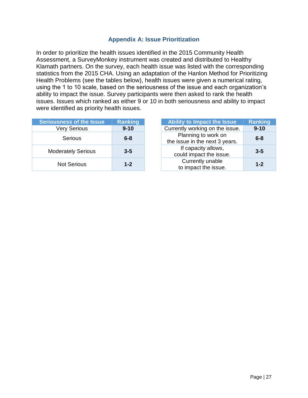#### **Appendix A: Issue Prioritization**

In order to prioritize the health issues identified in the 2015 Community Health Assessment, a SurveyMonkey instrument was created and distributed to Healthy Klamath partners. On the survey, each health issue was listed with the corresponding statistics from the 2015 CHA. Using an adaptation of the Hanlon Method for Prioritizing Health Problems (see the tables below), health issues were given a numerical rating, using the 1 to 10 scale, based on the seriousness of the issue and each organization's ability to impact the issue. Survey participants were then asked to rank the health issues. Issues which ranked as either 9 or 10 in both seriousness and ability to impact were identified as priority health issues.

| <b>Seriousness of the Issue</b> | <b>Ranking</b> |
|---------------------------------|----------------|
| <b>Very Serious</b>             | $9 - 10$       |
| Serious                         | $6 - 8$        |
| <b>Moderately Serious</b>       | $3 - 5$        |
| Not Serious                     | $1 - 2$        |

| <b>Seriousness of the Issue</b> | <b>Ranking</b> | Ability to Impact the Issue                           | <b>Ranking</b> |
|---------------------------------|----------------|-------------------------------------------------------|----------------|
| <b>Very Serious</b>             | $9 - 10$       | Currently working on the issue.                       | $9 - 10$       |
| Serious                         | $6 - 8$        | Planning to work on<br>the issue in the next 3 years. | $6 - 8$        |
| <b>Moderately Serious</b>       | $3 - 5$        | If capacity allows,<br>could impact the issue.        | $3 - 5$        |
| <b>Not Serious</b>              | $1 - 2$        | Currently unable<br>to impact the issue.              | $1 - 2$        |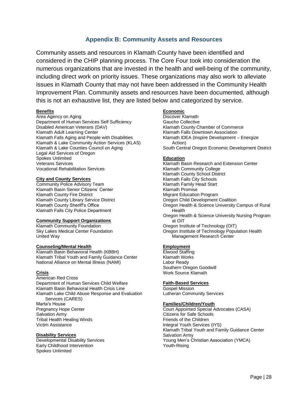#### **Appendix B: Community Assets and Resources**

Community assets and resources in Klamath County have been identified and considered in the CHIP planning process. The Core Four took into consideration the numerous organizations that are invested in the health and well-being of the community, including direct work on priority issues. These organizations may also work to alleviate issues in Klamath County that may not have been addressed in the Community Health Improvement Plan. Community assets and resources have been documented, although this is not an exhaustive list, they are listed below and categorized by service.

#### **Benefits**

Area Agency on Aging Department of Human Services Self Sufficiency Disabled American Veterans (DAV) Klamath Adult Learning Center Klamath Falls Aging and People with Disabilities Klamath & Lake Community Action Services (KLAS) Klamath & Lake Counties Council on Aging Legal Aid Services of Oregon Spokes Unlimited Veterans Services Vocational Rehabilitation Services

#### **City and County Services**

Community Police Advisory Team Klamath Basin Senior Citizens' Center Klamath County Fire District Klamath County Library Service District Klamath County Sheriff's Office Klamath Falls City Police Department

#### **Community Support Organizations**

Klamath Community Foundation Sky Lakes Medical Center Foundation United Way

#### **Counseling/Mental Health**

Klamath Basin Behavioral Health (KBBH) Klamath Tribal Youth and Family Guidance Center National Alliance on Mental Illness (NAMI)

#### **Crisis**

American Red Cross Department of Human Services Child Welfare Klamath Basin Behavioral Health Crisis Line Klamath Lake Child Abuse Response and Evaluation Services (CARES) Marta's House Pregnancy Hope Center Salvation Army Tribal Health Healing Winds Victim Assistance

#### **Disability Services**

Developmental Disability Services Early Childhood Intervention Spokes Unlimited

#### **Economic**

Discover Klamath Gaucho Collective Klamath County Chamber of Commerce Klamath Falls Downtown Association Klamath IDEA (Inspire Development – Energize Action) South Central Oregon Economic Development District

#### **Education**

Klamath Basin Research and Extension Center Klamath Community College Klamath County School District Klamath Falls City Schools Klamath Family Head Start Klamath Promise Migrant Education Program Oregon Child Development Coalition Oregon Health & Science University Campus of Rural Health Oregon Health & Science University Nursing Program at OIT Oregon Institute of Technology (OIT) Oregon Institute of Technology Population Health Management Research Center

#### **Employment**

Elwood Staffing Klamath Works Labor Ready Southern Oregon Goodwill Work Source Klamath

#### **Faith-Based Services**

Gospel Mission Lutheran Community Services

#### **Families/Children/Youth**

Court Appointed Special Advocates (CASA) Citizens for Safe Schools Friends of the Children Integral Youth Services (IYS) Klamath Tribal Youth and Family Guidance Center Salvation Army Young Men's Christian Association (YMCA) Youth-Rising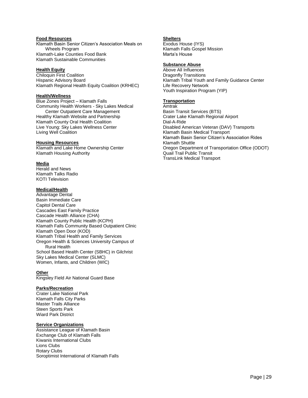#### **Food Resources**

Klamath Basin Senior Citizen's Association Meals on Wheels Program Klamath-Lake Counties Food Bank Klamath Sustainable Communities

#### **Health Equity**

Chiloquin First Coalition Hispanic Advisory Board Klamath Regional Health Equity Coalition (KRHEC)

#### **Health/Wellness**

Blue Zones Project – Klamath Falls Community Health Workers - Sky Lakes Medical Center Outpatient Care Management Healthy Klamath Website and Partnership Klamath County Oral Health Coalition Live Young: Sky Lakes Wellness Center Living Well Coalition

#### **Housing Resources**

Klamath and Lake Home Ownership Center Klamath Housing Authority

#### **Media**

Herald and News Klamath Talks Radio KOTI Television

#### **Medical/Health**

Advantage Dental Basin Immediate Care Capitol Dental Care Cascades East Family Practice Cascade Health Alliance (CHA) Klamath County Public Health (KCPH) Klamath Falls Community Based Outpatient Clinic Klamath Open Door (KOD) Klamath Tribal Health and Family Services Oregon Health & Sciences University Campus of Rural Health School Based Health Center (SBHC) in Gilchrist Sky Lakes Medical Center (SLMC) Women, Infants, and Children (WIC)

#### **Other**

Kingsley Field Air National Guard Base

#### **Parks/Recreation**

Crater Lake National Park Klamath Falls City Parks Master Trails Alliance Steen Sports Park Wiard Park District

#### **Service Organizations**

Assistance League of Klamath Basin Exchange Club of Klamath Falls Kiwanis International Clubs Lions Clubs Rotary Clubs Soroptimist International of Klamath Falls

#### **Shelters**

Exodus House (IYS) Klamath Falls Gospel Mission Marta's House

#### **Substance Abuse**

Above All Influences Dragonfly Transitions Klamath Tribal Youth and Family Guidance Center Life Recovery Network Youth Inspiration Program (YIP)

#### **Transportation**

Amtrak Basin Transit Services (BTS) Crater Lake Klamath Regional Airport Dial-A-Ride Disabled American Veteran (DAV) Transports Klamath Basin Medical Transport Klamath Basin Senior Citizen's Association Rides Klamath Shuttle Oregon Department of Transportation Office (ODOT) Quail Trail Public Transit TransLink Medical Transport